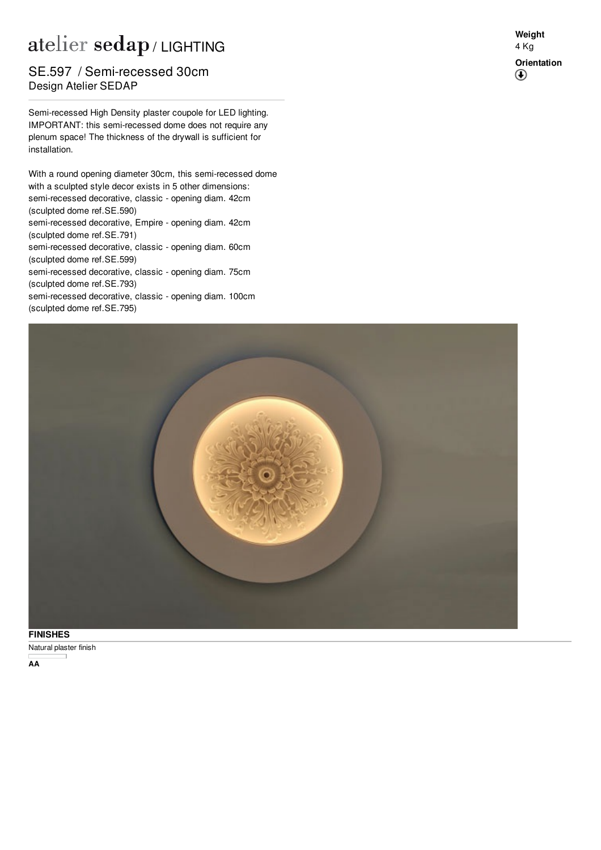## atelier sedap / LIGHTING

## Design Atelier SEDAP SE.597 / Semi-recessed 30cm

Semi-recessed High Density plaster coupole for LED lighting. IMPORTANT: this semi-recessed dome does not require any plenum space! The thickness of the drywall is sufficient for installation.

With a round opening diameter 30cm, this semi-recessed dome with a sculpted style decor exists in 5 other dimensions: semi-recessed decorative, classic - opening diam. 42cm (sculpted dome ref[.SE.590](http://www.sedap.com/lighting/fr/produits/view/SE.590)) semi-recessed decorative, Empire - opening diam. 42cm (sculpted dome ref[.SE.791](http://www.sedap.com/lighting/fr/produits/view/SE.791)) semi-recessed decorative, classic - opening diam. 60cm (sculpted dome ref[.SE.599](http://www.sedap.com/lighting/fr/produits/view/SE.599)) semi-recessed decorative, classic - opening diam. 75cm (sculpted dome ref[.SE.793](http://www.sedap.com/lighting/fr/produits/view/SE.793)) semi-recessed decorative, classic - opening diam. 100cm (sculpted dome ref[.SE.795](http://www.sedap.com/lighting/fr/produits/view/SE.795))



Natural plaster finish **FINISHES**

**AA**

**Weight** 4 Kg **Orientation** $\bigcirc$